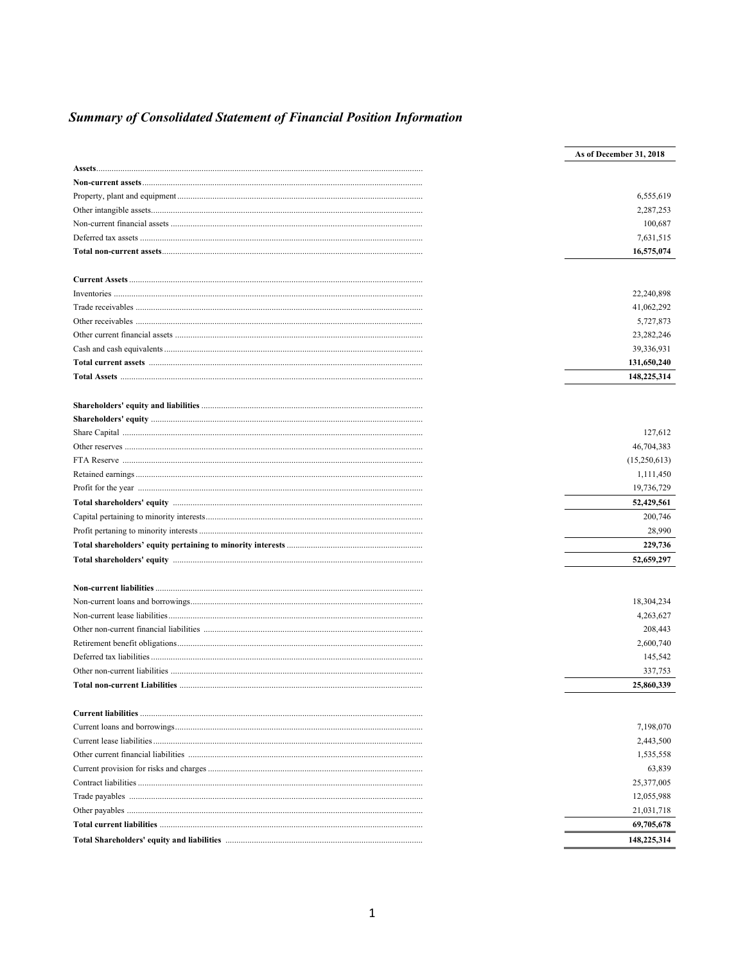# **Summary of Consolidated Statement of Financial Position Information**

| As of December 31, 2018 |
|-------------------------|
|                         |
|                         |
| 6,555,619               |
| 2,287,253               |
| 100,687                 |
| 7,631,515               |
| 16,575,074              |
|                         |
| 22,240,898              |
| 41,062,292              |
| 5,727,873               |
| 23,282,246              |
| 39,336,931              |
| 131,650,240             |
| 148,225,314             |
|                         |
|                         |
| 127,612                 |
| 46,704,383              |
| (15,250,613)            |
| 1,111,450               |
| 19,736,729              |
| 52,429,561              |
| 200,746                 |
| 28,990                  |
| 229,736                 |
| 52,659,297              |
|                         |
|                         |
| 18,304,234              |
| 4,263,627               |
| 208,443                 |
| 2,600,740               |
| 145,542                 |
| 337,753                 |
| 25,860,339              |
|                         |
| 7,198,070               |
| 2,443,500               |
| 1,535,558               |
| 63,839                  |
| 25,377,005              |
| 12,055,988              |
| 21,031,718              |
| 69,705,678              |
| 148,225,314             |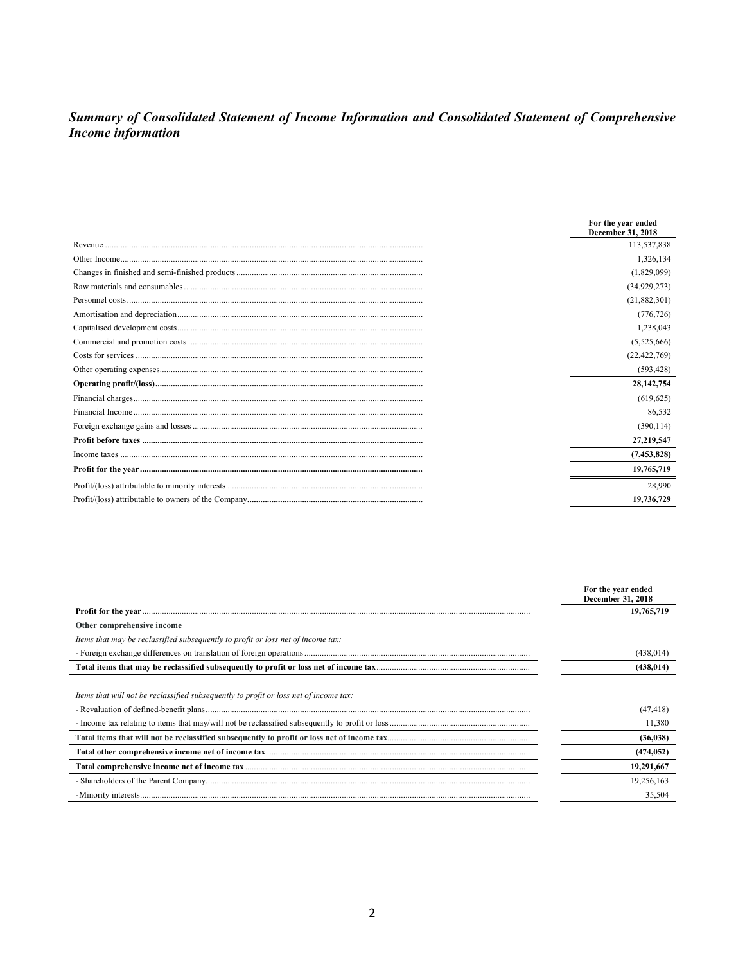# Summary of Consolidated Statement of Income Information and Consolidated Statement of Comprehensive<br>Income information

| For the year ended<br>December 31, 2018 |
|-----------------------------------------|
| 113,537,838                             |
| 1,326,134                               |
| (1,829,099)                             |
| (34,929,273)                            |
| (21,882,301)                            |
| (776, 726)                              |
| 1,238,043                               |
| (5,525,666)                             |
| (22, 422, 769)                          |
| (593, 428)                              |
| 28,142,754                              |
| (619, 625)                              |
| 86,532                                  |
| (390, 114)                              |
| 27,219,547                              |
| (7, 453, 828)                           |
| 19,765,719                              |
| 28,990                                  |
| 19,736,729                              |

|                                                                                       | For the year ended<br>December 31, 2018 |
|---------------------------------------------------------------------------------------|-----------------------------------------|
|                                                                                       | 19,765,719                              |
| Other comprehensive income                                                            |                                         |
| Items that may be reclassified subsequently to profit or loss net of income tax:      |                                         |
|                                                                                       | (438, 014)                              |
|                                                                                       | (438, 014)                              |
|                                                                                       |                                         |
| Items that will not be reclassified subsequently to profit or loss net of income tax: |                                         |
|                                                                                       | (47, 418)                               |
|                                                                                       | 11,380                                  |
|                                                                                       | (36, 038)                               |
|                                                                                       | (474, 052)                              |
|                                                                                       | 19,291,667                              |
|                                                                                       | 19,256,163                              |
|                                                                                       | 35,504                                  |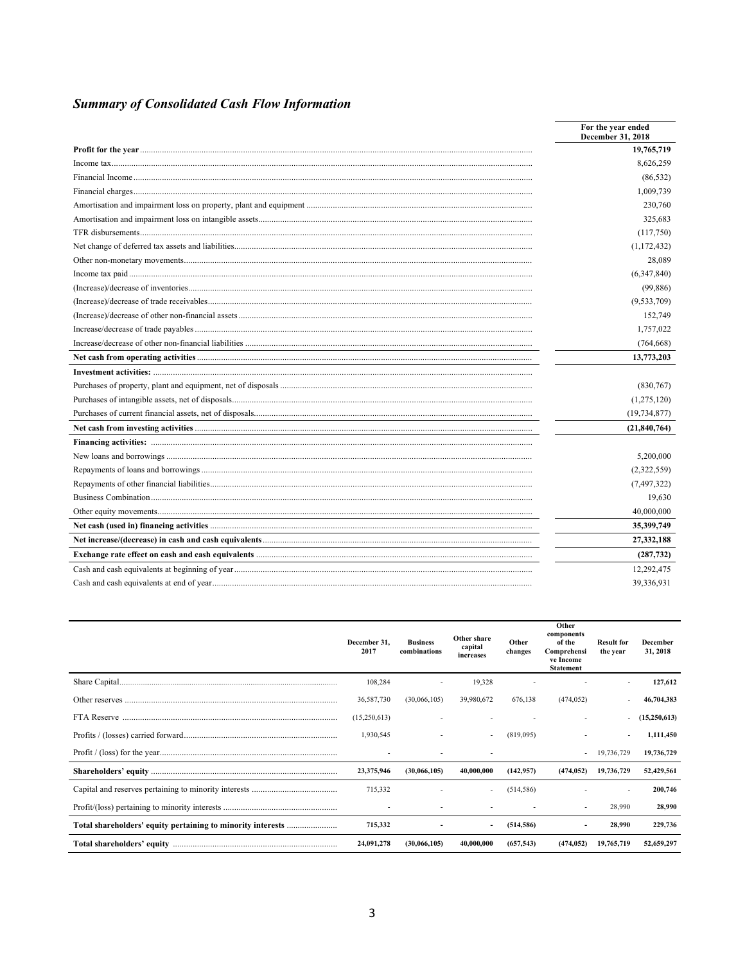# **Summary of Consolidated Cash Flow Information**

| For the year ended<br>December 31, 2018 |
|-----------------------------------------|
| 19,765,719                              |
| 8,626,259                               |
| (86, 532)                               |
| 1,009,739                               |
| 230,760                                 |
| 325,683                                 |
| (117,750)                               |
| (1, 172, 432)                           |
| 28,089                                  |
| (6,347,840)                             |
| (99, 886)                               |
| (9,533,709)                             |
| 152,749                                 |
| 1,757,022                               |
| (764, 668)                              |
| 13,773,203                              |
|                                         |
| (830,767)                               |
| (1,275,120)                             |
| (19, 734, 877)                          |
| (21, 840, 764)                          |
|                                         |
| 5,200,000                               |
| (2,322,559)                             |
| (7, 497, 322)                           |
| 19,630                                  |
| 40,000,000                              |
| 35,399,749                              |
| 27,332,188                              |
| (287, 732)                              |
| 12,292,475                              |
| 39,336,931                              |

| December 31.<br>2017 | <b>Business</b><br>combinations | Other share<br>capital<br>increases | Other<br>changes | Other<br>components<br>of the<br>Comprehensi<br>ve Income<br><b>Statement</b> | <b>Result for</b><br>the year | December<br>31, 2018 |
|----------------------|---------------------------------|-------------------------------------|------------------|-------------------------------------------------------------------------------|-------------------------------|----------------------|
| 108,284              |                                 | 19,328                              |                  |                                                                               | $\overline{\phantom{a}}$      | 127,612              |
| 36,587,730           | (30.066, 105)                   | 39,980,672                          | 676.138          | (474.052)                                                                     | $\overline{\phantom{a}}$      | 46,704,383           |
| (15,250,613)         |                                 |                                     |                  |                                                                               | $\overline{\phantom{a}}$      | (15,250,613)         |
| 1,930,545            |                                 |                                     | (819,095)        |                                                                               | $\overline{\phantom{a}}$      | 1,111,450            |
|                      | $\overline{\phantom{a}}$        |                                     |                  | $\overline{\phantom{a}}$                                                      | 19,736,729                    | 19,736,729           |
| 23,375,946           | (30.066, 105)                   | 40,000,000                          | (142, 957)       | (474.052)                                                                     | 19,736,729                    | 52,429,561           |
| 715,332              |                                 |                                     | (514, 586)       |                                                                               | $\overline{\phantom{a}}$      | 200,746              |
|                      |                                 |                                     |                  | $\overline{\phantom{a}}$                                                      | 28,990                        | 28,990               |
| 715,332              |                                 |                                     | (514, 586)       | $\overline{\phantom{a}}$                                                      | 28,990                        | 229,736              |
| 24,091,278           | (30.066.105)                    | 40,000,000                          | (657, 543)       | (474.052)                                                                     | 19,765,719                    | 52,659,297           |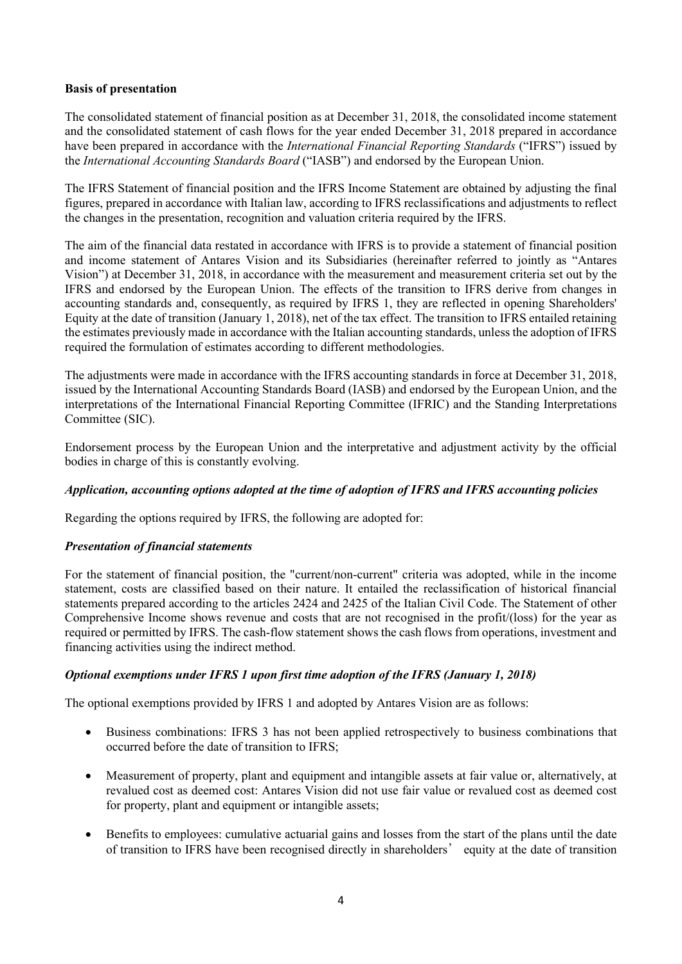# **Basis of presentation**

The consolidated statement of financial position as at December 31, 2018, the consolidated income statement and the consolidated statement of cash flows for the year ended December 31, 2018 prepared in accordance have been prepared in accordance with the *International Financial Reporting Standards* ("IFRS") issued by the *International Accounting Standards Board* ("IASB") and endorsed by the European Union.

The IFRS Statement of financial position and the IFRS Income Statement are obtained by adjusting the final figures, prepared in accordance with Italian law, according to IFRS reclassifications and adjustments to reflect the changes in the presentation, recognition and valuation criteria required by the IFRS.

The aim of the financial data restated in accordance with IFRS is to provide a statement of financial position and income statement of Antares Vision and its Subsidiaries (hereinafter referred to jointly as "Antares Vision") at December 31, 2018, in accordance with the measurement and measurement criteria set out by the IFRS and endorsed by the European Union. The effects of the transition to IFRS derive from changes in accounting standards and, consequently, as required by IFRS 1, they are reflected in opening Shareholders' Equity at the date of transition (January 1, 2018), net of the tax effect. The transition to IFRS entailed retaining the estimates previously made in accordance with the Italian accounting standards, unless the adoption of IFRS required the formulation of estimates according to different methodologies.

The adjustments were made in accordance with the IFRS accounting standards in force at December 31, 2018, issued by the International Accounting Standards Board (IASB) and endorsed by the European Union, and the interpretations of the International Financial Reporting Committee (IFRIC) and the Standing Interpretations Committee (SIC).

Endorsement process by the European Union and the interpretative and adjustment activity by the official bodies in charge of this is constantly evolving.

#### *Application, accounting options adopted at the time of adoption of IFRS and IFRS accounting policies*

Regarding the options required by IFRS, the following are adopted for:

#### *Presentation of financial statements*

For the statement of financial position, the "current/non-current" criteria was adopted, while in the income statement, costs are classified based on their nature. It entailed the reclassification of historical financial statements prepared according to the articles 2424 and 2425 of the Italian Civil Code. The Statement of other Comprehensive Income shows revenue and costs that are not recognised in the profit/(loss) for the year as required or permitted by IFRS. The cash-flow statement shows the cash flows from operations, investment and financing activities using the indirect method.

# *Optional exemptions under IFRS 1 upon first time adoption of the IFRS (January 1, 2018)*

The optional exemptions provided by IFRS 1 and adopted by Antares Vision are as follows:

- Business combinations: IFRS 3 has not been applied retrospectively to business combinations that occurred before the date of transition to IFRS;
- Measurement of property, plant and equipment and intangible assets at fair value or, alternatively, at revalued cost as deemed cost: Antares Vision did not use fair value or revalued cost as deemed cost for property, plant and equipment or intangible assets;
- Benefits to employees: cumulative actuarial gains and losses from the start of the plans until the date of transition to IFRS have been recognised directly in shareholders' equity at the date of transition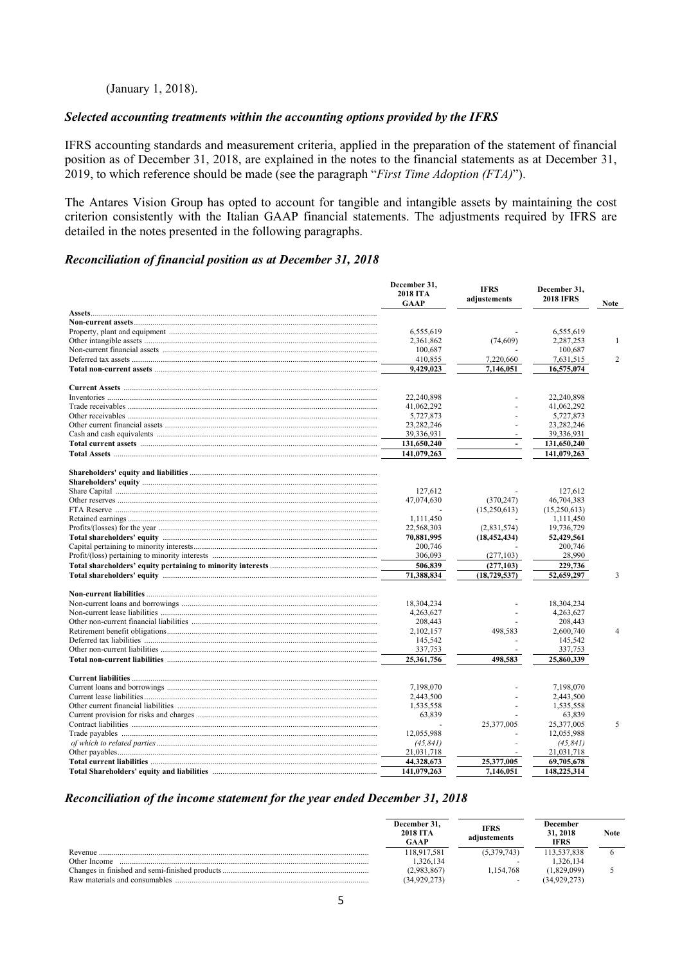#### (January 1, 2018).

#### *Selected accounting treatments within the accounting options provided by the IFRS*

IFRS accounting standards and measurement criteria, applied in the preparation of the statement of financial position as of December 31, 2018, are explained in the notes to the financial statements as at December 31, 2019, to which reference should be made (see the paragraph "*First Time Adoption (FTA)*").

The Antares Vision Group has opted to account for tangible and intangible assets by maintaining the cost criterion consistently with the Italian GAAP financial statements. The adjustments required by IFRS are detailed in the notes presented in the following paragraphs.

#### *Reconciliation of financial position as at December 31, 2018*

| December 31,<br>2018 ITA<br>GAAP | <b>IFRS</b><br>adjustements | December 31,<br><b>2018 IFRS</b> | <b>Note</b>    |
|----------------------------------|-----------------------------|----------------------------------|----------------|
|                                  |                             |                                  |                |
|                                  |                             |                                  |                |
| 6,555,619                        |                             | 6,555,619                        |                |
| 2,361,862                        | (74, 609)                   | 2,287,253                        | $\mathbf{1}$   |
| 100,687                          |                             | 100,687                          |                |
| 410,855                          | 7,220,660                   | 7,631,515                        | $\overline{2}$ |
| 9,429,023                        | 7,146,051                   | 16,575,074                       |                |
|                                  |                             |                                  |                |
| 22,240,898                       |                             | 22,240,898                       |                |
| 41,062,292                       |                             | 41,062,292                       |                |
| 5,727,873                        |                             | 5,727,873                        |                |
| 23, 282, 246                     |                             | 23, 282, 246                     |                |
| 39,336,931                       |                             | 39,336,931                       |                |
| 131,650,240                      | $\blacksquare$              | 131,650,240                      |                |
| 141,079,263                      |                             | 141,079,263                      |                |
|                                  |                             |                                  |                |
|                                  |                             |                                  |                |
| 127,612                          |                             | 127,612                          |                |
| 47,074,630                       | (370, 247)                  | 46,704,383                       |                |
|                                  | (15,250,613)                | (15,250,613)                     |                |
| 1,111,450                        |                             | 1,111,450                        |                |
| 22,568,303                       | (2,831,574)                 | 19,736,729                       |                |
| 70,881,995                       | (18, 452, 434)              | 52,429,561                       |                |
| 200,746                          |                             | 200,746                          |                |
| 306,093                          | (277, 103)                  | 28,990                           |                |
| 506,839                          | (277, 103)                  | 229,736                          |                |
| 71,388,834                       | (18, 729, 537)              | 52,659,297                       | 3              |
|                                  |                             |                                  |                |
| 18,304,234                       |                             | 18,304,234                       |                |
| 4,263,627                        |                             | 4,263,627                        |                |
| 208,443                          |                             | 208,443                          |                |
| 2,102,157                        | 498,583                     | 2,600,740                        | $\overline{4}$ |
| 145,542                          |                             | 145,542                          |                |
| 337,753                          |                             | 337,753                          |                |
| 25,361,756                       | 498,583                     | 25,860,339                       |                |
|                                  |                             |                                  |                |
| 7,198,070                        |                             | 7,198,070                        |                |
| 2,443,500                        |                             | 2,443,500                        |                |
| 1,535,558                        |                             | 1,535,558                        |                |
| 63,839                           |                             | 63,839                           |                |
|                                  | 25,377,005                  | 25,377,005                       | 5              |
| 12,055,988                       |                             | 12,055,988                       |                |
| (45, 841)                        |                             | (45, 841)                        |                |
| 21,031,718                       |                             | 21,031,718                       |                |
| 44,328,673                       | 25,377,005                  | 69,705,678                       |                |
| 141,079,263                      | 7,146,051                   | 148,225,314                      |                |

#### *Reconciliation of the income statement for the year ended December 31, 2018*

|                               | December 31.<br><b>2018 ITA</b><br>GAAP | IFRS<br>adiustements     | December<br>31, 2018<br><b>IFRS</b> | <b>Note</b> |
|-------------------------------|-----------------------------------------|--------------------------|-------------------------------------|-------------|
| Revenue                       | 118.917.581                             | (5.379.743)              | 13.537.838                          |             |
| Other Income                  | .326.134                                | $\overline{\phantom{a}}$ | .326.134                            |             |
|                               | 2.983.867                               | .154.768                 | 1.829.099)                          |             |
| Raw materials and consumables | (34.929.273)                            | $\overline{\phantom{a}}$ | 34.929.273                          |             |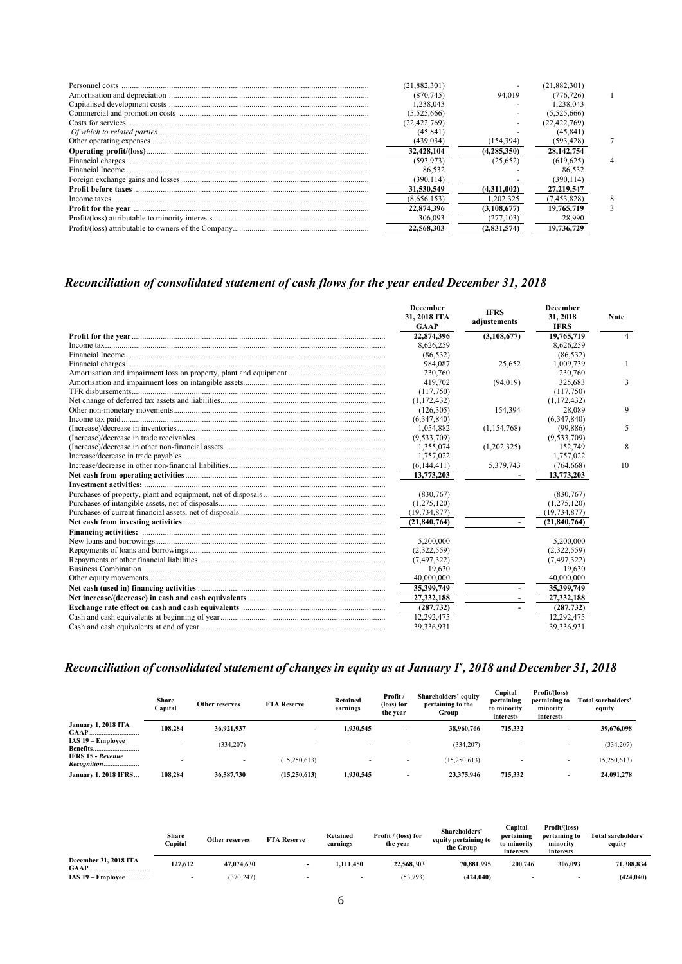|                                                                                                                                                                                                                                                                                                                                                                                                                                                                                                                                                          | (21.882.301) |             | (21,882,301)   |  |
|----------------------------------------------------------------------------------------------------------------------------------------------------------------------------------------------------------------------------------------------------------------------------------------------------------------------------------------------------------------------------------------------------------------------------------------------------------------------------------------------------------------------------------------------------------|--------------|-------------|----------------|--|
|                                                                                                                                                                                                                                                                                                                                                                                                                                                                                                                                                          | (870,745)    | 94,019      | (776.726)      |  |
|                                                                                                                                                                                                                                                                                                                                                                                                                                                                                                                                                          | 1.238.043    |             | .238.043       |  |
|                                                                                                                                                                                                                                                                                                                                                                                                                                                                                                                                                          | (5,525,666)  |             | (5,525,666)    |  |
|                                                                                                                                                                                                                                                                                                                                                                                                                                                                                                                                                          | (22.422.769) |             | (22, 422, 769) |  |
|                                                                                                                                                                                                                                                                                                                                                                                                                                                                                                                                                          | (45, 841)    |             | (45.841)       |  |
| $\label{prop:optimal} \begin{minipage}{0.9\textwidth} \begin{minipage}{0.9\textwidth} \centering \textbf{0.0\textwidth} \centering \textbf{0.0\textwidth} \centering \textbf{0.0\textwidth} \centering \textbf{0.0\textwidth} \centering \textbf{0.0\textwidth} \centering \textbf{0.0\textwidth} \centering \textbf{0.0\textwidth} \centering \textbf{0.0\textwidth} \centering \textbf{0.0\textwidth} \centering \textbf{0.0\textwidth} \centering \textbf{0.0\textwidth} \centering \textbf{0.0\textwidth} \centering \textbf{0.0\textwidth} \center$ | (439, 034)   | (154.394)   | (593,428)      |  |
|                                                                                                                                                                                                                                                                                                                                                                                                                                                                                                                                                          | 32,428,104   | (4.285.350) | 28, 142, 754   |  |
|                                                                                                                                                                                                                                                                                                                                                                                                                                                                                                                                                          | (593.973)    | (25.652)    | (619.625)      |  |
|                                                                                                                                                                                                                                                                                                                                                                                                                                                                                                                                                          | 86,532       |             | 86.532         |  |
|                                                                                                                                                                                                                                                                                                                                                                                                                                                                                                                                                          | (390.114)    |             | (390.114)      |  |
|                                                                                                                                                                                                                                                                                                                                                                                                                                                                                                                                                          | 31,530,549   | (4.311.002) | 27,219,547     |  |
| Income taxes                                                                                                                                                                                                                                                                                                                                                                                                                                                                                                                                             | (8,656,153)  | .202.325    | (7, 453, 828)  |  |
|                                                                                                                                                                                                                                                                                                                                                                                                                                                                                                                                                          | 22,874,396   | (3.108.677) | 19.765.719     |  |
|                                                                                                                                                                                                                                                                                                                                                                                                                                                                                                                                                          | 306,093      | (277, 103)  | 28,990         |  |
|                                                                                                                                                                                                                                                                                                                                                                                                                                                                                                                                                          | 22,568,303   | (2,831,574) | 19,736,729     |  |
|                                                                                                                                                                                                                                                                                                                                                                                                                                                                                                                                                          |              |             |                |  |

# *Reconciliation of consolidated statement of cash flows for the year ended December 31, 2018*

| <b>December</b><br>31, 2018 ITA<br><b>GAAP</b> | <b>IFRS</b><br>adjustements | <b>December</b><br>31, 2018<br><b>IFRS</b> | <b>Note</b> |
|------------------------------------------------|-----------------------------|--------------------------------------------|-------------|
| 22,874,396                                     | (3,108,677)                 | 19,765,719                                 | 4           |
| 8,626,259                                      |                             | 8,626,259                                  |             |
| (86, 532)                                      |                             | (86, 532)                                  |             |
| 984,087                                        | 25,652                      | 1,009,739                                  |             |
| 230,760                                        |                             | 230,760                                    |             |
| 419,702                                        | (94, 019)                   | 325,683                                    |             |
| (117,750)                                      |                             | (117,750)                                  |             |
| (1,172,432)                                    |                             | (1, 172, 432)                              |             |
| (126, 305)                                     | 154,394                     | 28,089                                     |             |
| (6,347,840)                                    |                             | (6,347,840)                                |             |
| 1.054.882                                      | (1, 154, 768)               | (99, 886)                                  |             |
| (9,533,709)                                    |                             | (9,533,709)                                |             |
| 1,355,074                                      | (1,202,325)                 | 152,749                                    |             |
| 1,757,022                                      |                             | 1,757,022                                  |             |
| (6,144,411)                                    | 5,379,743                   | (764, 668)                                 | 10          |
| 13,773,203                                     |                             | 13,773,203                                 |             |
|                                                |                             |                                            |             |
| (830,767)                                      |                             | (830,767)                                  |             |
| (1,275,120)                                    |                             | (1,275,120)                                |             |
| (19, 734, 877)                                 |                             | (19, 734, 877)                             |             |
| (21.840.764)                                   | $\sim$                      | (21.840.764)                               |             |
|                                                |                             |                                            |             |
| 5,200,000                                      |                             | 5,200,000                                  |             |
| (2,322,559)                                    |                             | (2,322,559)                                |             |
| (7, 497, 322)                                  |                             | (7, 497, 322)                              |             |
| 19,630                                         |                             | 19,630                                     |             |
| 40,000,000                                     |                             | 40,000,000                                 |             |
| 35,399,749                                     | $\sim$                      | 35,399,749                                 |             |
| 27,332,188                                     |                             | 27,332,188                                 |             |
| (287, 732)                                     |                             | (287, 732)                                 |             |
| 12,292,475                                     |                             | 12,292,475                                 |             |
| 39,336,931                                     |                             | 39,336,931                                 |             |

#### Reconciliation of consolidated statement of changes in equity as at January 1<sup>s</sup>, 2018 and December 31, 2018

|                                         | Share<br>Capital | Other reserves           | <b>FTA Reserve</b>       | Retained<br>earnings | Profit /<br>(loss) for<br>the year | <b>Shareholders' equity</b><br>pertaining to the<br>Group | Capital<br>pertaining<br>to minority<br>interests | Profit/(loss)<br>pertaining to<br>minority<br>interests | Total sareholders'<br>equity |
|-----------------------------------------|------------------|--------------------------|--------------------------|----------------------|------------------------------------|-----------------------------------------------------------|---------------------------------------------------|---------------------------------------------------------|------------------------------|
| January 1, 2018 ITA<br><b>GAAP</b>      | 108.284          | 36,921,937               | $\overline{\phantom{0}}$ | 1.930.545            |                                    | 38,960,766                                                | 715,332                                           |                                                         | 39,676,098                   |
| IAS 19 – Employee<br><b>Benefits</b>    |                  | (334, 207)               |                          |                      |                                    | (334, 207)                                                |                                                   |                                                         | (334, 207)                   |
| <b>IFRS 15 - Revenue</b><br>Recognition |                  | $\overline{\phantom{0}}$ | (15,250,613)             |                      |                                    | (15,250,613)                                              |                                                   | $\overline{\phantom{a}}$                                | 15,250,613)                  |
| <b>January 1, 2018 IFRS</b>             | 108.284          | 36,587,730               | (15,250,613)             | 1,930,545            |                                    | 23,375,946                                                | 715,332                                           |                                                         | 24,091,278                   |

|                       | Share<br>Capital | Other reserves | <b>FTA Reserve</b> | Retained<br>earnings | Profit / (loss) for<br>the year | <b>Shareholders</b><br>equity pertaining to<br>the Group | Capital<br>pertaining<br>to minority<br>interests | Profit/(loss)<br>pertaining to<br>minority<br>interests | Total sareholders'<br>equity |
|-----------------------|------------------|----------------|--------------------|----------------------|---------------------------------|----------------------------------------------------------|---------------------------------------------------|---------------------------------------------------------|------------------------------|
| December 31, 2018 ITA | 127.612          | 47,074,630     |                    | 1.111.450            | 22,568,303                      | 70.881.995                                               | 200.746                                           | 306.093                                                 | 71.388.834                   |
| IAS $19$ – Employee   |                  | (370, 247)     |                    |                      | (53, 793)                       | (424, 040)                                               |                                                   | $\overline{\phantom{a}}$                                | (424, 040)                   |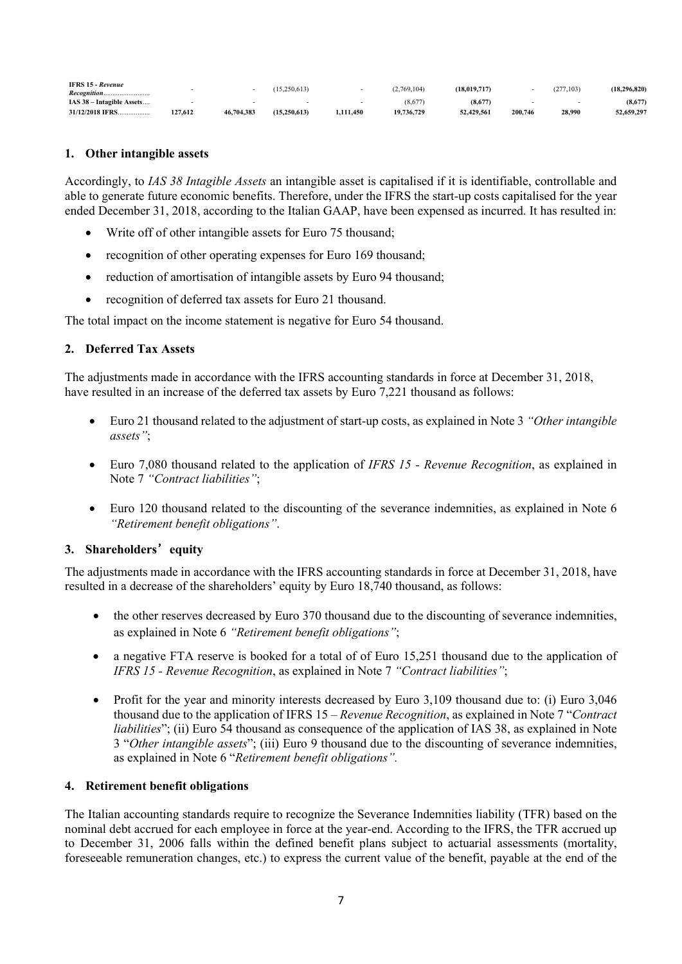| <b>IFRS 15 - Revenue</b>  |        |            | (15,250,613) |           | (2,769,104) | (18.019.717 |         | (277, 103) | (18.296.820) |
|---------------------------|--------|------------|--------------|-----------|-------------|-------------|---------|------------|--------------|
| IAS 38 - Intagible Assets |        |            |              |           | (8,677)     | (8,677)     |         |            | (8,677)      |
| 31/12/2018 IFRS           | 27.612 | 46,704,383 | (15.250.613) | 1.111.450 | 19,736,729  | 52.429.561  | 200,746 | 28,990     | 52.659.297   |

### **1. Other intangible assets**

Accordingly, to *IAS 38 Intagible Assets* an intangible asset is capitalised if it is identifiable, controllable and able to generate future economic benefits. Therefore, under the IFRS the start-up costs capitalised for the year ended December 31, 2018, according to the Italian GAAP, have been expensed as incurred. It has resulted in:

- Write off of other intangible assets for Euro 75 thousand;
- recognition of other operating expenses for Euro 169 thousand;
- reduction of amortisation of intangible assets by Euro 94 thousand;
- recognition of deferred tax assets for Euro 21 thousand.

The total impact on the income statement is negative for Euro 54 thousand.

# **2. Deferred Tax Assets**

The adjustments made in accordance with the IFRS accounting standards in force at December 31, 2018, have resulted in an increase of the deferred tax assets by Euro 7,221 thousand as follows:

- Euro 21 thousand related to the adjustment of start-up costs, as explained in Note 3 *"Other intangible assets"*;
- Euro 7,080 thousand related to the application of *IFRS 15 - Revenue Recognition*, as explained in Note 7 *"Contract liabilities"*;
- Euro 120 thousand related to the discounting of the severance indemnities, as explained in Note 6 *"Retirement benefit obligations"*.

# **3. Shareholders**'**equity**

The adjustments made in accordance with the IFRS accounting standards in force at December 31, 2018, have resulted in a decrease of the shareholders' equity by Euro 18,740 thousand, as follows:

- the other reserves decreased by Euro 370 thousand due to the discounting of severance indemnities, as explained in Note 6 *"Retirement benefit obligations"*;
- a negative FTA reserve is booked for a total of of Euro 15,251 thousand due to the application of *IFRS 15 - Revenue Recognition*, as explained in Note 7 *"Contract liabilities"*;
- Profit for the year and minority interests decreased by Euro 3,109 thousand due to: (i) Euro 3,046 thousand due to the application of IFRS 15 – *Revenue Recognition*, as explained in Note 7 "*Contract liabilities*"; (ii) Euro 54 thousand as consequence of the application of IAS 38, as explained in Note 3 "*Other intangible assets*"; (iii) Euro 9 thousand due to the discounting of severance indemnities, as explained in Note 6 "*Retirement benefit obligations".*

#### **4. Retirement benefit obligations**

The Italian accounting standards require to recognize the Severance Indemnities liability (TFR) based on the nominal debt accrued for each employee in force at the year-end. According to the IFRS, the TFR accrued up to December 31, 2006 falls within the defined benefit plans subject to actuarial assessments (mortality, foreseeable remuneration changes, etc.) to express the current value of the benefit, payable at the end of the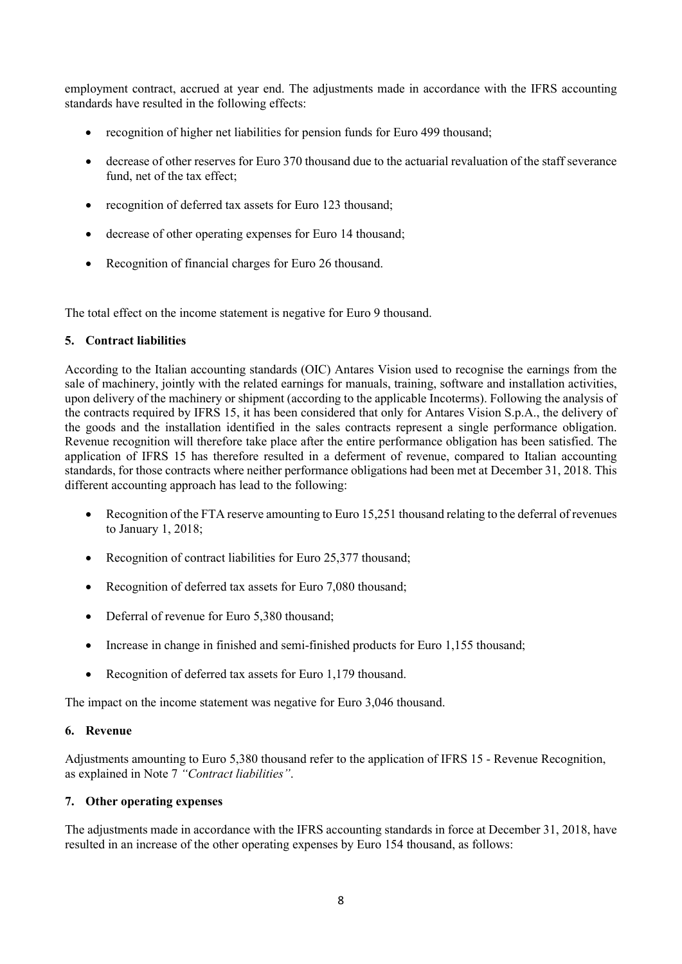employment contract, accrued at year end. The adjustments made in accordance with the IFRS accounting standards have resulted in the following effects:

- recognition of higher net liabilities for pension funds for Euro 499 thousand;
- decrease of other reserves for Euro 370 thousand due to the actuarial revaluation of the staff severance fund, net of the tax effect;
- recognition of deferred tax assets for Euro 123 thousand;
- decrease of other operating expenses for Euro 14 thousand;
- Recognition of financial charges for Euro 26 thousand.

The total effect on the income statement is negative for Euro 9 thousand.

# **5. Contract liabilities**

According to the Italian accounting standards (OIC) Antares Vision used to recognise the earnings from the sale of machinery, jointly with the related earnings for manuals, training, software and installation activities, upon delivery of the machinery or shipment (according to the applicable Incoterms). Following the analysis of the contracts required by IFRS 15, it has been considered that only for Antares Vision S.p.A., the delivery of the goods and the installation identified in the sales contracts represent a single performance obligation. Revenue recognition will therefore take place after the entire performance obligation has been satisfied. The application of IFRS 15 has therefore resulted in a deferment of revenue, compared to Italian accounting standards, for those contracts where neither performance obligations had been met at December 31, 2018. This different accounting approach has lead to the following:

- Recognition of the FTA reserve amounting to Euro 15,251 thousand relating to the deferral of revenues to January 1, 2018;
- Recognition of contract liabilities for Euro 25,377 thousand;
- Recognition of deferred tax assets for Euro 7,080 thousand;
- Deferral of revenue for Euro 5,380 thousand;
- Increase in change in finished and semi-finished products for Euro 1,155 thousand;
- Recognition of deferred tax assets for Euro 1,179 thousand.

The impact on the income statement was negative for Euro 3,046 thousand.

# **6. Revenue**

Adjustments amounting to Euro 5,380 thousand refer to the application of IFRS 15 - Revenue Recognition, as explained in Note 7 *"Contract liabilities"*.

# **7. Other operating expenses**

The adjustments made in accordance with the IFRS accounting standards in force at December 31, 2018, have resulted in an increase of the other operating expenses by Euro 154 thousand, as follows: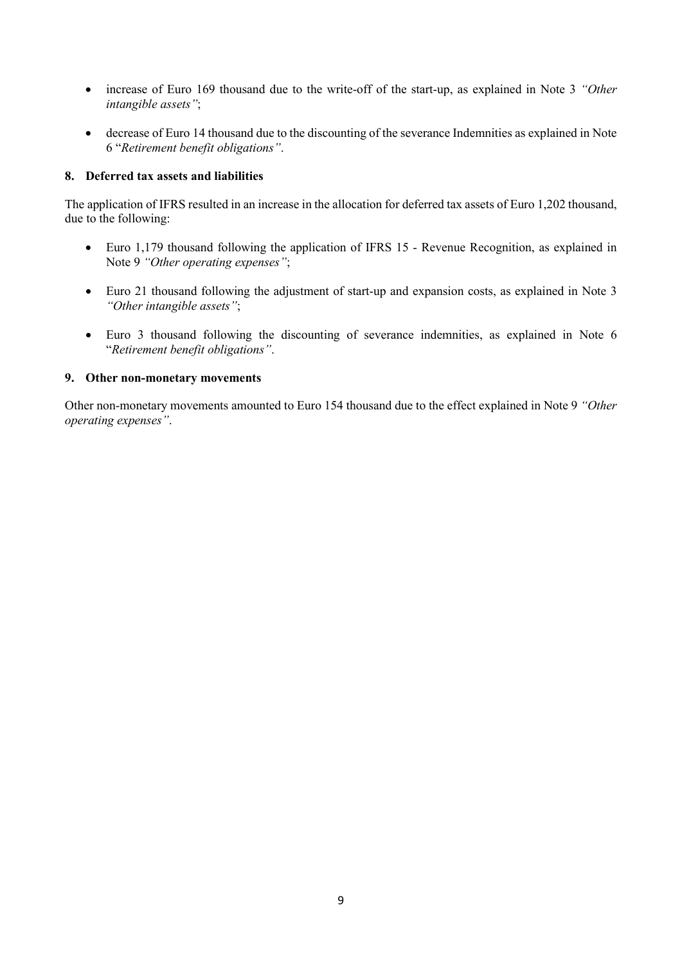- increase of Euro 169 thousand due to the write-off of the start-up, as explained in Note 3 *"Other intangible assets"*;
- decrease of Euro 14 thousand due to the discounting of the severance Indemnities as explained in Note 6 "*Retirement benefit obligations"*.

### **8. Deferred tax assets and liabilities**

The application of IFRS resulted in an increase in the allocation for deferred tax assets of Euro 1,202 thousand, due to the following:

- Euro 1,179 thousand following the application of IFRS 15 Revenue Recognition, as explained in Note 9 *"Other operating expenses"*;
- Euro 21 thousand following the adjustment of start-up and expansion costs, as explained in Note 3 *"Other intangible assets"*;
- Euro 3 thousand following the discounting of severance indemnities, as explained in Note 6 "*Retirement benefit obligations"*.

# **9. Other non-monetary movements**

Other non-monetary movements amounted to Euro 154 thousand due to the effect explained in Note 9 *"Other operating expenses"*.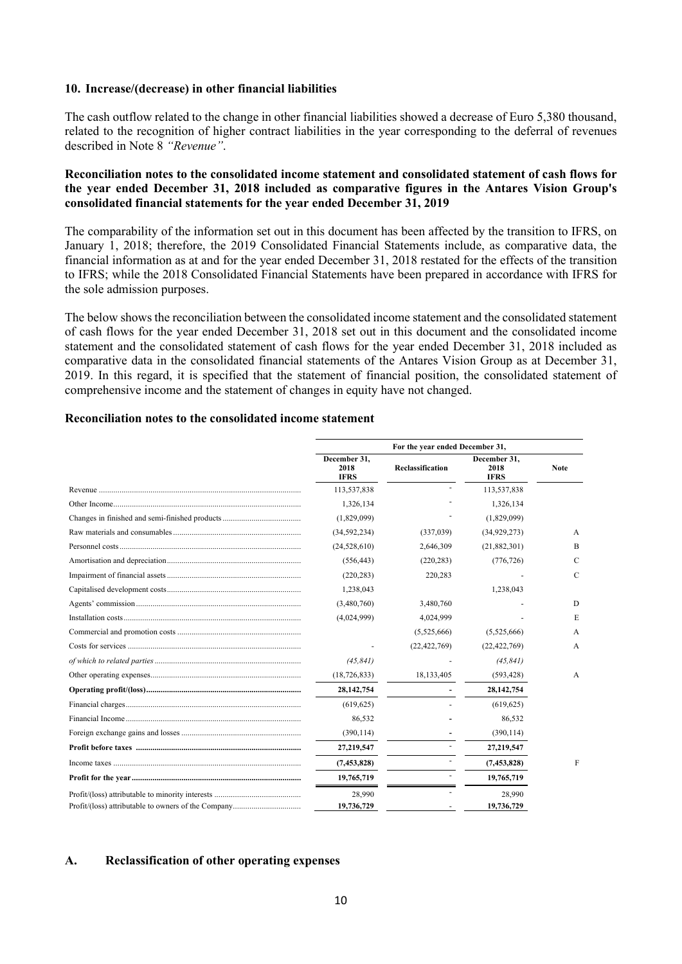#### **10. Increase/(decrease) in other financial liabilities**

The cash outflow related to the change in other financial liabilities showed a decrease of Euro 5,380 thousand, related to the recognition of higher contract liabilities in the year corresponding to the deferral of revenues described in Note 8 *"Revenue"*.

#### **Reconciliation notes to the consolidated income statement and consolidated statement of cash flows for the year ended December 31, 2018 included as comparative figures in the Antares Vision Group's consolidated financial statements for the year ended December 31, 2019**

The comparability of the information set out in this document has been affected by the transition to IFRS, on January 1, 2018; therefore, the 2019 Consolidated Financial Statements include, as comparative data, the financial information as at and for the year ended December 31, 2018 restated for the effects of the transition to IFRS; while the 2018 Consolidated Financial Statements have been prepared in accordance with IFRS for the sole admission purposes.

The below shows the reconciliation between the consolidated income statement and the consolidated statement of cash flows for the year ended December 31, 2018 set out in this document and the consolidated income statement and the consolidated statement of cash flows for the year ended December 31, 2018 included as comparative data in the consolidated financial statements of the Antares Vision Group as at December 31, 2019. In this regard, it is specified that the statement of financial position, the consolidated statement of comprehensive income and the statement of changes in equity have not changed.

#### **Reconciliation notes to the consolidated income statement**

| For the year ended December 31,     |                  |                                     |               |
|-------------------------------------|------------------|-------------------------------------|---------------|
| December 31,<br>2018<br><b>IFRS</b> | Reclassification | December 31,<br>2018<br><b>IFRS</b> | <b>Note</b>   |
| 113,537,838                         |                  | 113,537,838                         |               |
| 1,326,134                           |                  | 1,326,134                           |               |
| (1,829,099)                         |                  | (1,829,099)                         |               |
| (34, 592, 234)                      | (337,039)        | (34, 929, 273)                      | A             |
| (24, 528, 610)                      | 2,646,309        | (21,882,301)                        | B             |
| (556, 443)                          | (220, 283)       | (776, 726)                          | $\mathcal{C}$ |
| (220, 283)                          | 220,283          |                                     | C             |
| 1,238,043                           |                  | 1,238,043                           |               |
| (3,480,760)                         | 3,480,760        |                                     | D             |
| (4,024,999)                         | 4,024,999        |                                     | E             |
|                                     | (5,525,666)      | (5,525,666)                         | A             |
|                                     | (22, 422, 769)   | (22, 422, 769)                      | A             |
| (45, 841)                           |                  | (45, 841)                           |               |
| (18, 726, 833)                      | 18, 133, 405     | (593, 428)                          | A             |
| 28, 142, 754                        |                  | 28, 142, 754                        |               |
| (619, 625)                          |                  | (619, 625)                          |               |
| 86,532                              |                  | 86,532                              |               |
| (390, 114)                          |                  | (390, 114)                          |               |
| 27,219,547                          |                  | 27,219,547                          |               |
| (7, 453, 828)                       |                  | (7, 453, 828)                       | F             |
| 19,765,719                          |                  | 19,765,719                          |               |
| 28,990                              |                  | 28.990                              |               |
| 19,736,729                          |                  | 19,736,729                          |               |

#### **A. Reclassification of other operating expenses**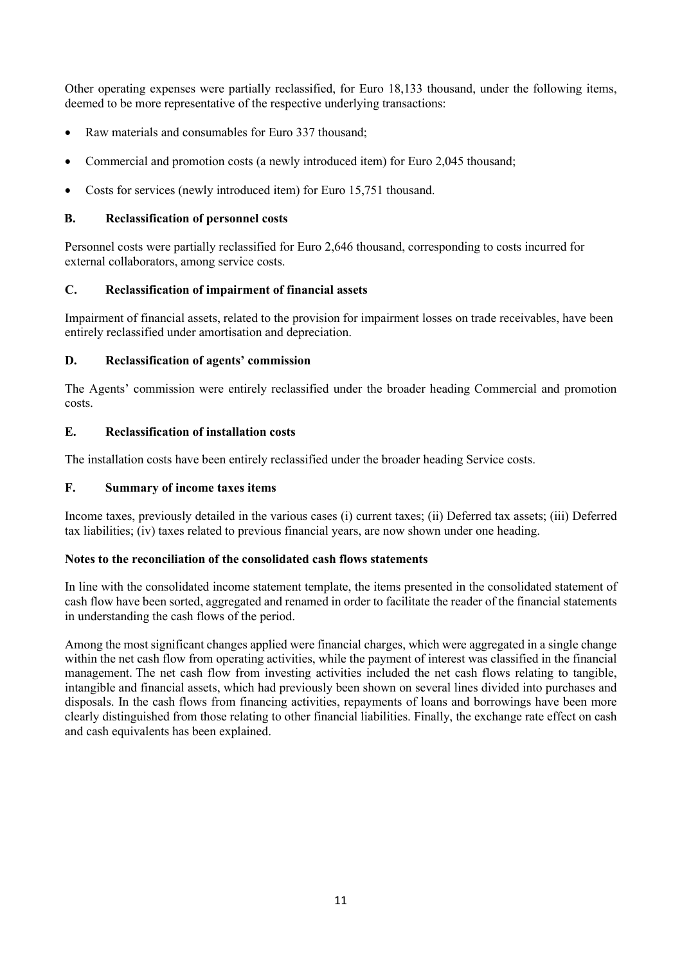Other operating expenses were partially reclassified, for Euro 18,133 thousand, under the following items, deemed to be more representative of the respective underlying transactions:

- Raw materials and consumables for Euro 337 thousand;
- Commercial and promotion costs (a newly introduced item) for Euro 2,045 thousand;
- Costs for services (newly introduced item) for Euro 15,751 thousand.

# **B. Reclassification of personnel costs**

Personnel costs were partially reclassified for Euro 2,646 thousand, corresponding to costs incurred for external collaborators, among service costs.

# **C. Reclassification of impairment of financial assets**

Impairment of financial assets, related to the provision for impairment losses on trade receivables, have been entirely reclassified under amortisation and depreciation.

# **D. Reclassification of agents' commission**

The Agents' commission were entirely reclassified under the broader heading Commercial and promotion costs.

# **E. Reclassification of installation costs**

The installation costs have been entirely reclassified under the broader heading Service costs.

# **F. Summary of income taxes items**

Income taxes, previously detailed in the various cases (i) current taxes; (ii) Deferred tax assets; (iii) Deferred tax liabilities; (iv) taxes related to previous financial years, are now shown under one heading.

#### **Notes to the reconciliation of the consolidated cash flows statements**

In line with the consolidated income statement template, the items presented in the consolidated statement of cash flow have been sorted, aggregated and renamed in order to facilitate the reader of the financial statements in understanding the cash flows of the period.

Among the most significant changes applied were financial charges, which were aggregated in a single change within the net cash flow from operating activities, while the payment of interest was classified in the financial management. The net cash flow from investing activities included the net cash flows relating to tangible, intangible and financial assets, which had previously been shown on several lines divided into purchases and disposals. In the cash flows from financing activities, repayments of loans and borrowings have been more clearly distinguished from those relating to other financial liabilities. Finally, the exchange rate effect on cash and cash equivalents has been explained.